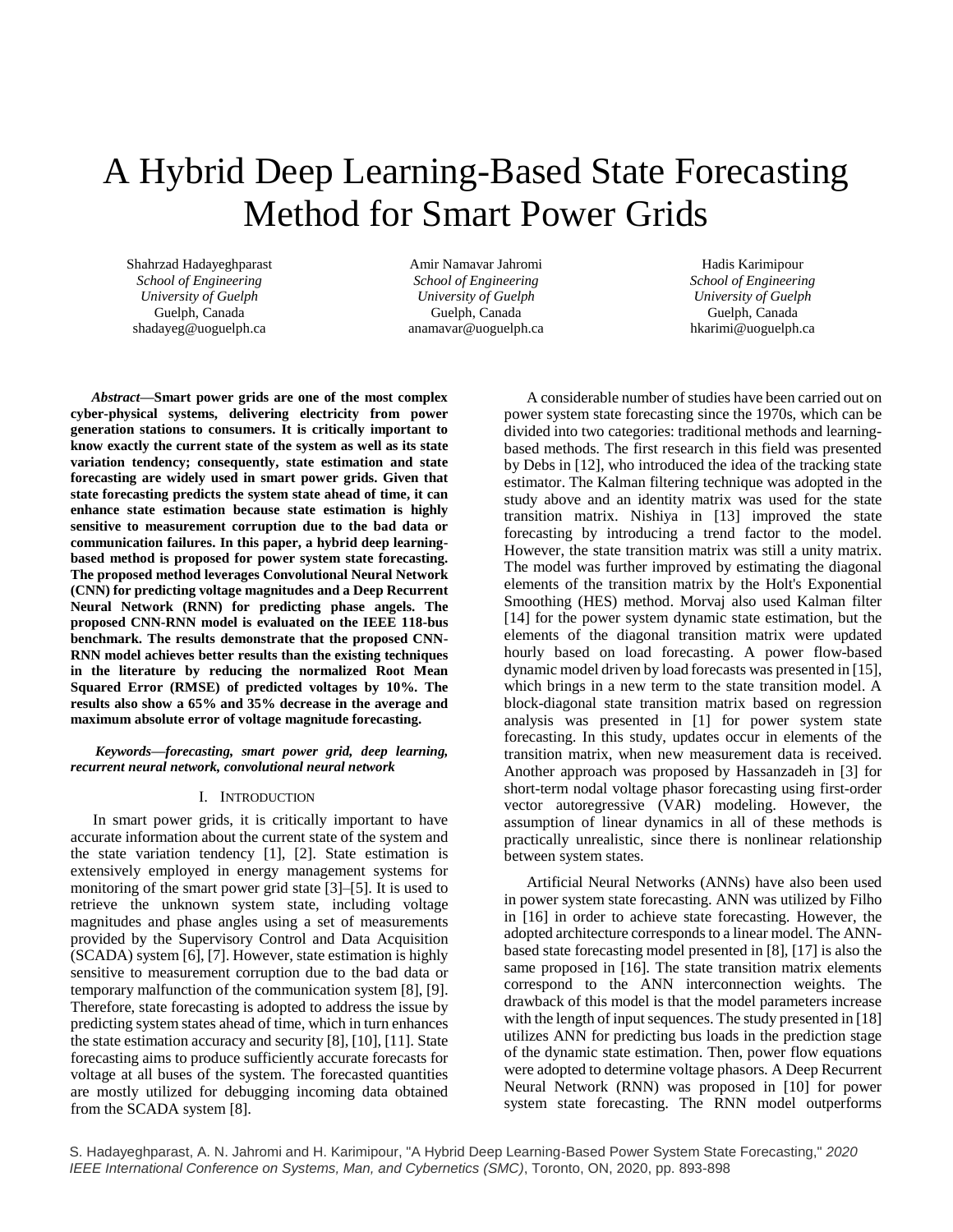# A Hybrid Deep Learning-Based State Forecasting Method for Smart Power Grids

Shahrzad Hadayeghparast *School of Engineering University of Guelph* Guelph, Canada shadayeg@uoguelph.ca

Amir Namavar Jahromi *School of Engineering University of Guelph* Guelph, Canada anamavar@uoguelph.ca

Hadis Karimipour *School of Engineering University of Guelph* Guelph, Canada hkarimi@uoguelph.ca

*Abstract***—Smart power grids are one of the most complex cyber-physical systems, delivering electricity from power generation stations to consumers. It is critically important to know exactly the current state of the system as well as its state variation tendency; consequently, state estimation and state forecasting are widely used in smart power grids. Given that state forecasting predicts the system state ahead of time, it can enhance state estimation because state estimation is highly sensitive to measurement corruption due to the bad data or communication failures. In this paper, a hybrid deep learningbased method is proposed for power system state forecasting. The proposed method leverages Convolutional Neural Network (CNN) for predicting voltage magnitudes and a Deep Recurrent Neural Network (RNN) for predicting phase angels. The proposed CNN-RNN model is evaluated on the IEEE 118-bus benchmark. The results demonstrate that the proposed CNN-RNN model achieves better results than the existing techniques in the literature by reducing the normalized Root Mean Squared Error (RMSE) of predicted voltages by 10%. The results also show a 65% and 35% decrease in the average and maximum absolute error of voltage magnitude forecasting.**

*Keywords—forecasting, smart power grid, deep learning, recurrent neural network, convolutional neural network*

# I. INTRODUCTION

In smart power grids, it is critically important to have accurate information about the current state of the system and the state variation tendency [1], [2]. State estimation is extensively employed in energy management systems for monitoring of the smart power grid state [3]–[5]. It is used to retrieve the unknown system state, including voltage magnitudes and phase angles using a set of measurements provided by the Supervisory Control and Data Acquisition (SCADA) system [6], [7]. However, state estimation is highly sensitive to measurement corruption due to the bad data or temporary malfunction of the communication system [8], [9]. Therefore, state forecasting is adopted to address the issue by predicting system states ahead of time, which in turn enhances the state estimation accuracy and security [8], [10], [11]. State forecasting aims to produce sufficiently accurate forecasts for voltage at all buses of the system. The forecasted quantities are mostly utilized for debugging incoming data obtained from the SCADA system [8].

A considerable number of studies have been carried out on power system state forecasting since the 1970s, which can be divided into two categories: traditional methods and learningbased methods. The first research in this field was presented by Debs in [12], who introduced the idea of the tracking state estimator. The Kalman filtering technique was adopted in the study above and an identity matrix was used for the state transition matrix. Nishiya in [13] improved the state forecasting by introducing a trend factor to the model. However, the state transition matrix was still a unity matrix. The model was further improved by estimating the diagonal elements of the transition matrix by the Holt's Exponential Smoothing (HES) method. Morvaj also used Kalman filter [14] for the power system dynamic state estimation, but the elements of the diagonal transition matrix were updated hourly based on load forecasting. A power flow-based dynamic model driven by load forecasts was presented in [15], which brings in a new term to the state transition model. A block-diagonal state transition matrix based on regression analysis was presented in [1] for power system state forecasting. In this study, updates occur in elements of the transition matrix, when new measurement data is received. Another approach was proposed by Hassanzadeh in [3] for short-term nodal voltage phasor forecasting using first-order vector autoregressive (VAR) modeling. However, the assumption of linear dynamics in all of these methods is practically unrealistic, since there is nonlinear relationship between system states.

Artificial Neural Networks (ANNs) have also been used in power system state forecasting. ANN was utilized by Filho in [16] in order to achieve state forecasting. However, the adopted architecture corresponds to a linear model. The ANNbased state forecasting model presented in [8], [17] is also the same proposed in [16]. The state transition matrix elements correspond to the ANN interconnection weights. The drawback of this model is that the model parameters increase with the length of input sequences. The study presented in [18] utilizes ANN for predicting bus loads in the prediction stage of the dynamic state estimation. Then, power flow equations were adopted to determine voltage phasors. A Deep Recurrent Neural Network (RNN) was proposed in [10] for power system state forecasting. The RNN model outperforms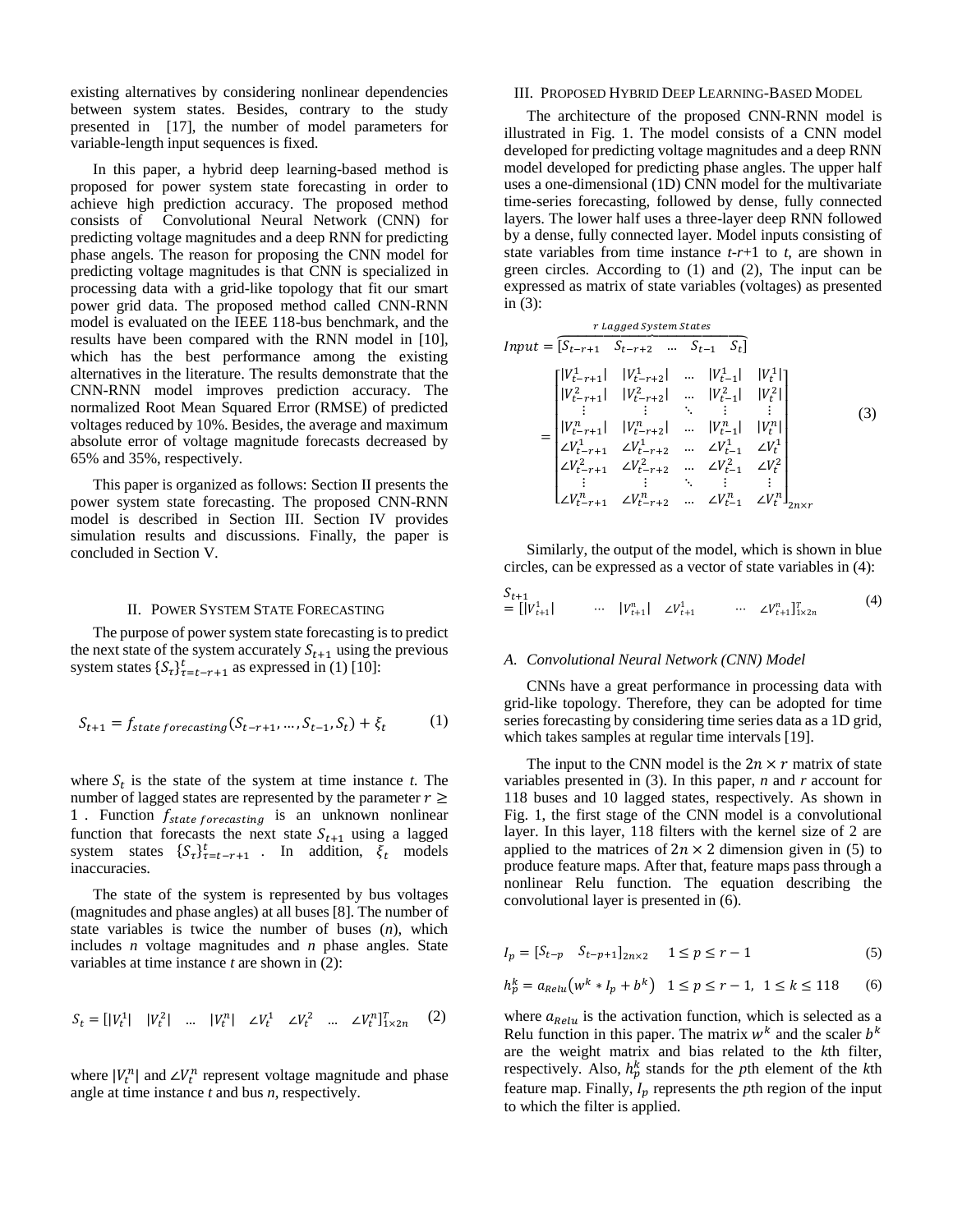existing alternatives by considering nonlinear dependencies between system states. Besides, contrary to the study presented in [17], the number of model parameters for variable-length input sequences is fixed.

In this paper, a hybrid deep learning-based method is proposed for power system state forecasting in order to achieve high prediction accuracy. The proposed method consists of Convolutional Neural Network (CNN) for predicting voltage magnitudes and a deep RNN for predicting phase angels. The reason for proposing the CNN model for predicting voltage magnitudes is that CNN is specialized in processing data with a grid-like topology that fit our smart power grid data. The proposed method called CNN-RNN model is evaluated on the IEEE 118-bus benchmark, and the results have been compared with the RNN model in [10], which has the best performance among the existing alternatives in the literature. The results demonstrate that the CNN-RNN model improves prediction accuracy. The normalized Root Mean Squared Error (RMSE) of predicted voltages reduced by 10%. Besides, the average and maximum absolute error of voltage magnitude forecasts decreased by 65% and 35%, respectively.

This paper is organized as follows: Section II presents the power system state forecasting. The proposed CNN-RNN model is described in Section III. Section IV provides simulation results and discussions. Finally, the paper is concluded in Section V.

### II. POWER SYSTEM STATE FORECASTING

The purpose of power system state forecasting is to predict the next state of the system accurately  $S_{t+1}$  using the previous system states  $\{S_t\}_{t=t-r+1}^t$  as expressed i[n \(1\)](#page-1-0) [10]:

$$
S_{t+1} = f_{state\,forecasting}(S_{t-r+1}, \dots, S_{t-1}, S_t) + \xi_t \tag{1}
$$

where  $S_t$  is the state of the system at time instance  $t$ . The number of lagged states are represented by the parameter  $r \geq$ 1 . Function  $f_{state\, forecasting}$  is an unknown nonlinear function that forecasts the next state  $S_{t+1}$  using a lagged system states  $\{S_{\tau}\}_{\tau=t-r+1}^t$ . In addition,  $\bar{\xi}_t$  models inaccuracies.

The state of the system is represented by bus voltages (magnitudes and phase angles) at all buses [8]. The number of state variables is twice the number of buses (*n*), which includes *n* voltage magnitudes and *n* phase angles. State variables at time instance *t* are shown in [\(2\):](#page-1-1)

$$
S_t = [|V_t^1| \quad |V_t^2| \quad ... \quad |V_t^n| \quad \angle V_t^1 \quad \angle V_t^2 \quad ... \quad \angle V_t^n]^T_{1 \times 2n} \quad (2)
$$

where  $|V_t^n|$  and  $\angle V_t^n$  represent voltage magnitude and phase angle at time instance *t* and bus *n,* respectively.

## III. PROPOSED HYBRID DEEP LEARNING-BASED MODEL

The architecture of the proposed CNN-RNN model is illustrated in [Fig. 1.](#page-2-0) The model consists of a CNN model developed for predicting voltage magnitudes and a deep RNN model developed for predicting phase angles. The upper half uses a one-dimensional (1D) CNN model for the multivariate time-series forecasting, followed by dense, fully connected layers. The lower half uses a three-layer deep RNN followed by a dense, fully connected layer. Model inputs consisting of state variables from time instance *t*-*r*+1 to *t*, are shown in green circles. According to [\(1\)](#page-1-0) and [\(2\),](#page-1-1) The input can be expressed as matrix of state variables (voltages) as presented in [\(3\):](#page-1-2)

<span id="page-1-2"></span> = [−+1 −+2 … −1 ⏞ ] = [ |−+1 1 | |−+2 1 | … |−1 1 | | 1 | |−+1 2 | |−+2 2 | … |−1 2 | | 2 | ⋮ ⋮ ⋱ ⋮ ⋮ |−+1 | |−+2 | … |−1 | | | ∠−+1 <sup>1</sup> ∠−+2 <sup>1</sup> … ∠−1 <sup>1</sup> ∠ 1 ∠−+1 <sup>2</sup> ∠−+2 <sup>2</sup> … ∠−1 <sup>2</sup> ∠ 2 ⋮ ⋮ ⋱ ⋮ ⋮ ∠−+1 ∠−+2 … ∠−1 ∠ ] 2× (3)

Similarly, the output of the model, which is shown in blue circles, can be expressed as a vector of state variables in [\(4\)](#page-1-3):

<span id="page-1-3"></span>
$$
\begin{array}{lll}\nS_{t+1} & \dots & |V_{t+1}^n| & \dots & \mathcal{L}V_{t+1}^1 & \dots & \mathcal{L}V_{t+1}^n\end{array} \tag{4}
$$

#### *A. Convolutional Neural Network (CNN) Model*

<span id="page-1-0"></span>CNNs have a great performance in processing data with grid-like topology. Therefore, they can be adopted for time series forecasting by considering time series data as a 1D grid, which takes samples at regular time intervals [19].

The input to the CNN model is the  $2n \times r$  matrix of state variables presented in [\(3\).](#page-1-2) In this paper, *n* and *r* account for 118 buses and 10 lagged states, respectively. As shown in [Fig. 1,](#page-2-0) the first stage of the CNN model is a convolutional layer. In this layer, 118 filters with the kernel size of 2 are applied to the matrices of  $2n \times 2$  dimension given in [\(5\)](#page-1-4) to produce feature maps. After that, feature maps pass through a nonlinear Relu function. The equation describing the convolutional layer is presented i[n \(6\).](#page-1-5)

<span id="page-1-4"></span>
$$
I_p = [S_{t-p} \quad S_{t-p+1}]_{2n \times 2} \quad 1 \le p \le r-1 \tag{5}
$$

<span id="page-1-5"></span>
$$
h_p^k = a_{Relu}(w^k * I_p + b^k) \quad 1 \le p \le r - 1, \ 1 \le k \le 118 \tag{6}
$$

<span id="page-1-1"></span>where  $a_{Relu}$  is the activation function, which is selected as a Relu function in this paper. The matrix  $w^k$  and the scaler  $b^k$ are the weight matrix and bias related to the *k*th filter, respectively. Also,  $h_p^k$  stands for the *p*th element of the *k*th feature map. Finally,  $I_p$  represents the *p*th region of the input to which the filter is applied.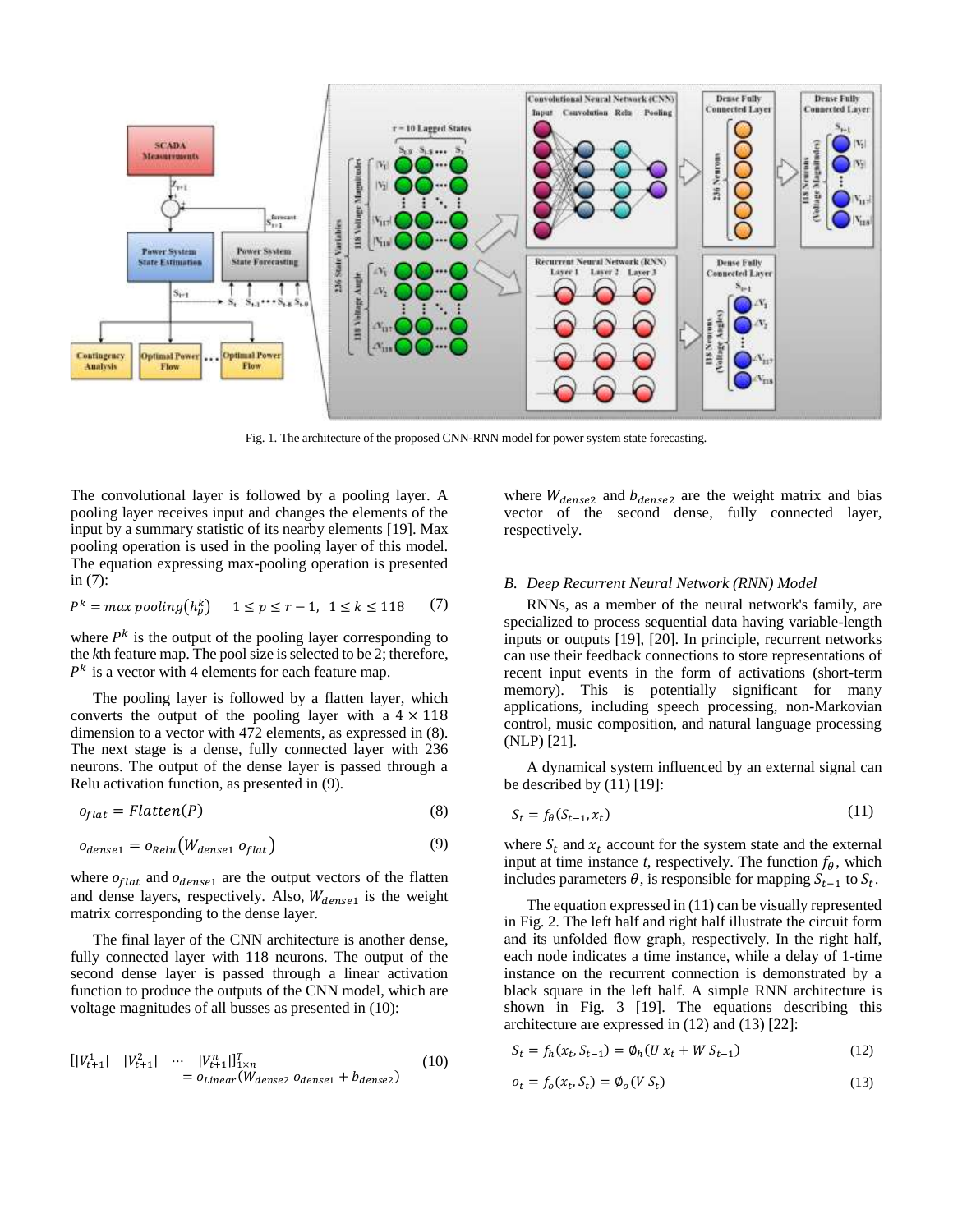

Fig. 1. The architecture of the proposed CNN-RNN model for power system state forecasting.

<span id="page-2-0"></span>The convolutional layer is followed by a pooling layer. A pooling layer receives input and changes the elements of the input by a summary statistic of its nearby elements [19]. Max pooling operation is used in the pooling layer of this model. The equation expressing max-pooling operation is presented i[n \(7\):](#page-2-1)

$$
P^k = \max \mathit{pooling}(h_p^k) \quad 1 \le p \le r - 1, \ 1 \le k \le 118 \tag{7}
$$

where  $P<sup>k</sup>$  is the output of the pooling layer corresponding to the *k*th feature map. The pool size is selected to be 2; therefore,  $P<sup>k</sup>$  is a vector with 4 elements for each feature map.

The pooling layer is followed by a flatten layer, which converts the output of the pooling layer with a  $4 \times 118$ dimension to a vector with 472 elements, as expressed in [\(8\).](#page-2-2) The next stage is a dense, fully connected layer with 236 neurons. The output of the dense layer is passed through a Relu activation function, as presented in [\(9\).](#page-2-3)

$$
o_{flat} = Flatten(P) \tag{8}
$$

$$
o_{dense1} = o_{Relu}(W_{dense1} o_{flat})
$$
\n(9)

where  $o_{flat}$  and  $o_{dense1}$  are the output vectors of the flatten and dense layers, respectively. Also,  $W_{dense1}$  is the weight matrix corresponding to the dense layer.

The final layer of the CNN architecture is another dense, fully connected layer with 118 neurons. The output of the second dense layer is passed through a linear activation function to produce the outputs of the CNN model, which are voltage magnitudes of all busses as presented i[n \(10\):](#page-2-4)

$$
\begin{aligned} [|V_{t+1}^1| & |V_{t+1}^2| & \cdots & |V_{t+1}^n|]_{1 \times n}^T \\ &= o_{Linear}(W_{dense2} \ o_{dense1} + b_{dense2}) \end{aligned} \tag{10}
$$

where  $W_{dense2}$  and  $b_{dense2}$  are the weight matrix and bias vector of the second dense, fully connected layer, respectively.

# *B. Deep Recurrent Neural Network (RNN) Model*

<span id="page-2-1"></span>RNNs, as a member of the neural network's family, are specialized to process sequential data having variable-length inputs or outputs [19], [20]. In principle, recurrent networks can use their feedback connections to store representations of recent input events in the form of activations (short-term memory). This is potentially significant for many applications, including speech processing, non-Markovian control, music composition, and natural language processing (NLP) [21].

A dynamical system influenced by an external signal can be described by [\(11\)](#page-2-5) [19]:

<span id="page-2-5"></span>
$$
S_t = f_\theta(S_{t-1}, x_t) \tag{11}
$$

<span id="page-2-3"></span><span id="page-2-2"></span>where  $S_t$  and  $x_t$  account for the system state and the external input at time instance *t*, respectively. The function  $f_{\theta}$ , which includes parameters  $\theta$ , is responsible for mapping  $S_{t-1}$  to  $S_t$ .

The equation expressed i[n \(11\)](#page-2-5) can be visually represented in [Fig. 2.](#page-3-0) The left half and right half illustrate the circuit form and its unfolded flow graph, respectively. In the right half, each node indicates a time instance, while a delay of 1-time instance on the recurrent connection is demonstrated by a black square in the left half. A simple RNN architecture is shown in [Fig. 3](#page-3-1) [19]. The equations describing this architecture are expressed in [\(12\)](#page-2-6) an[d \(13\)](#page-2-7) [22]:

<span id="page-2-4"></span>
$$
S_t = f_h(x_t, S_{t-1}) = \emptyset_h(U x_t + W S_{t-1})
$$
\n(12)

<span id="page-2-7"></span><span id="page-2-6"></span>
$$
o_t = f_o(x_t, S_t) = \phi_o(V S_t)
$$
\n(13)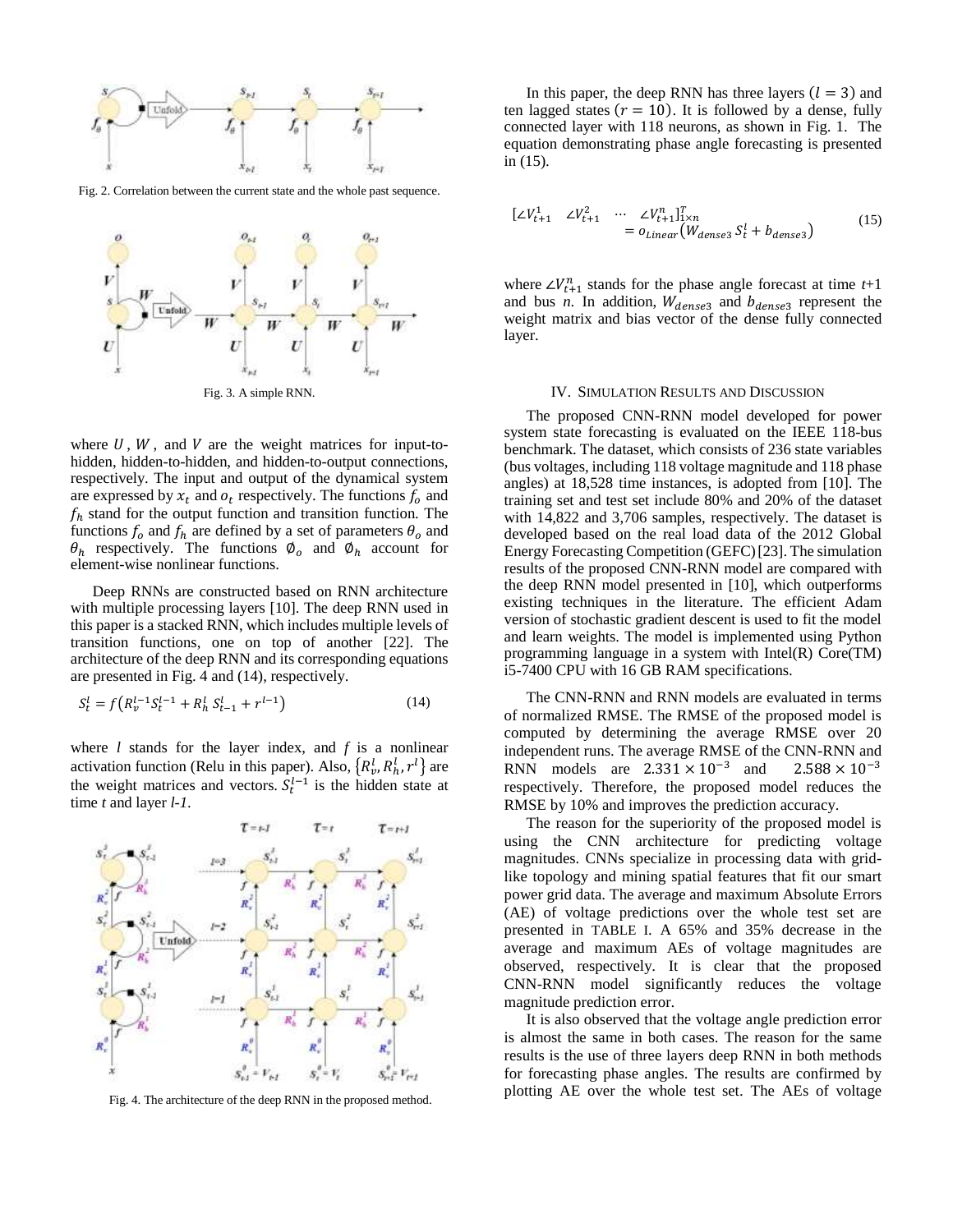

<span id="page-3-0"></span>Fig. 2. Correlation between the current state and the whole past sequence.



<span id="page-3-1"></span>where  $U, W$ , and  $V$  are the weight matrices for input-tohidden, hidden-to-hidden, and hidden-to-output connections, respectively. The input and output of the dynamical system are expressed by  $x_t$  and  $o_t$  respectively. The functions  $f_o$  and  $f_h$  stand for the output function and transition function. The functions  $f_0$  and  $f_h$  are defined by a set of parameters  $\theta_0$  and  $\theta_h$  respectively. The functions  $\emptyset_o$  and  $\emptyset_h$  account for element-wise nonlinear functions.

Deep RNNs are constructed based on RNN architecture with multiple processing layers [10]. The deep RNN used in this paper is a stacked RNN, which includes multiple levels of transition functions, one on top of another [22]. The architecture of the deep RNN and its corresponding equations are presented i[n Fig. 4](#page-3-2) an[d \(14\),](#page-3-3) respectively.

$$
S_t^l = f\left(R_v^{l-1}S_t^{l-1} + R_h^l S_{t-1}^l + r^{l-1}\right)
$$
\n(14)

where *l* stands for the layer index, and *f* is a nonlinear activation function (Relu in this paper). Also,  $\{R_v^l, R_h^l, r^l\}$  are the weight matrices and vectors.  $S_t^{l-1}$  is the hidden state at time *t* and layer *l-1*.



<span id="page-3-2"></span>Fig. 4. The architecture of the deep RNN in the proposed method.

In this paper, the deep RNN has three layers  $(l = 3)$  and ten lagged states ( $r = 10$ ). It is followed by a dense, fully connected layer with 118 neurons, as shown in [Fig. 1.](#page-2-0) The equation demonstrating phase angle forecasting is presented in [\(15\).](#page-3-4)

<span id="page-3-4"></span>
$$
\begin{aligned} \begin{bmatrix} \angle V_{t+1}^1 & \angle V_{t+1}^2 & \cdots & \angle V_{t+1}^n \end{bmatrix}_{1 \times n}^T \\ &= o_{Linear}(W_{dense3} \, S_t^1 + b_{dense3}) \end{aligned} \tag{15}
$$

where  $\angle V_{t+1}^n$  stands for the phase angle forecast at time *t*+1 and bus *n*. In addition,  $W_{dense3}$  and  $b_{dense3}$  represent the weight matrix and bias vector of the dense fully connected layer.

# IV. SIMULATION RESULTS AND DISCUSSION

The proposed CNN-RNN model developed for power system state forecasting is evaluated on the IEEE 118-bus benchmark. The dataset, which consists of 236 state variables (bus voltages, including 118 voltage magnitude and 118 phase angles) at 18,528 time instances, is adopted from [10]. The training set and test set include 80% and 20% of the dataset with 14,822 and 3,706 samples, respectively. The dataset is developed based on the real load data of the 2012 Global Energy Forecasting Competition (GEFC)[23]. The simulation results of the proposed CNN-RNN model are compared with the deep RNN model presented in [10], which outperforms existing techniques in the literature. The efficient Adam version of stochastic gradient descent is used to fit the model and learn weights. The model is implemented using Python programming language in a system with Intel(R) Core(TM) i5-7400 CPU with 16 GB RAM specifications.

<span id="page-3-3"></span>The CNN-RNN and RNN models are evaluated in terms of normalized RMSE. The RMSE of the proposed model is computed by determining the average RMSE over 20 independent runs. The average RMSE of the CNN-RNN and RNN models are  $2.331 \times 10^{-3}$  and  $2.588 \times 10^{-3}$ respectively. Therefore, the proposed model reduces the RMSE by 10% and improves the prediction accuracy.

The reason for the superiority of the proposed model is using the CNN architecture for predicting voltage magnitudes. CNNs specialize in processing data with gridlike topology and mining spatial features that fit our smart power grid data. The average and maximum Absolute Errors (AE) of voltage predictions over the whole test set are presented in TABLE I. A 65% and 35% decrease in the average and maximum AEs of voltage magnitudes are observed, respectively. It is clear that the proposed CNN-RNN model significantly reduces the voltage magnitude prediction error.

It is also observed that the voltage angle prediction error is almost the same in both cases. The reason for the same results is the use of three layers deep RNN in both methods for forecasting phase angles. The results are confirmed by plotting AE over the whole test set. The AEs of voltage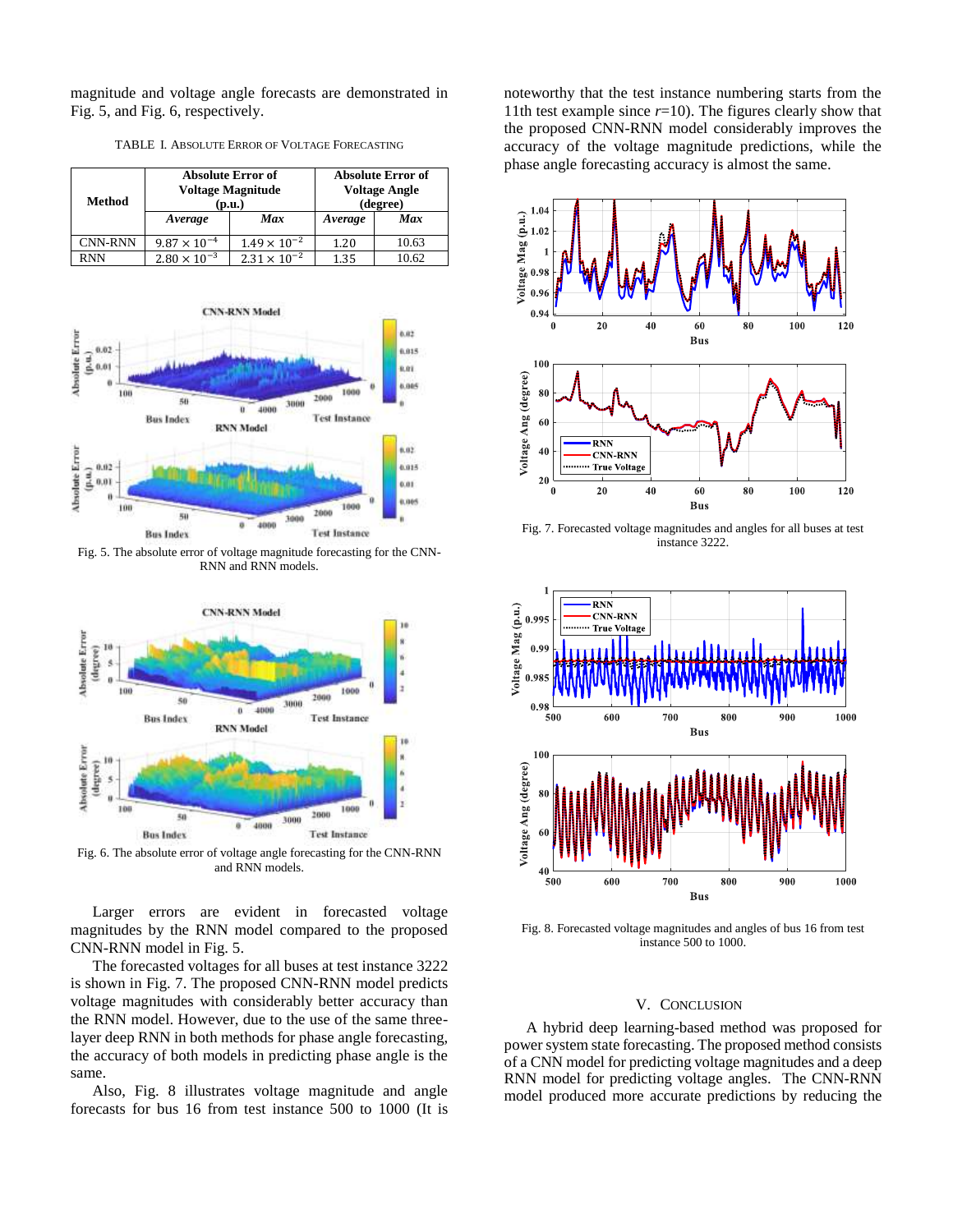magnitude and voltage angle forecasts are demonstrated in [Fig. 5,](#page-4-0) an[d Fig. 6,](#page-4-1) respectively.

| Method     | <b>Absolute Error of</b><br><b>Voltage Magnitude</b><br>(p.u.) |                       | <b>Absolute Error of</b><br><b>Voltage Angle</b><br>(degree) |            |
|------------|----------------------------------------------------------------|-----------------------|--------------------------------------------------------------|------------|
|            | Average                                                        | Max                   | Average                                                      | <b>Max</b> |
| CNN-RNN    | $9.87 \times 10^{-4}$                                          | $1.49 \times 10^{-2}$ | 1.20                                                         | 10.63      |
| <b>RNN</b> | $2.80 \times 10^{-3}$                                          | $2.31 \times 10^{-2}$ | 1.35                                                         | 10.62      |

TABLE I. ABSOLUTE ERROR OF VOLTAGE FORECASTING



<span id="page-4-0"></span>Fig. 5. The absolute error of voltage magnitude forecasting for the CNN-RNN and RNN models.



<span id="page-4-1"></span>Fig. 6. The absolute error of voltage angle forecasting for the CNN-RNN and RNN models.

Larger errors are evident in forecasted voltage magnitudes by the RNN model compared to the proposed CNN-RNN model in [Fig. 5.](#page-4-0) 

The forecasted voltages for all buses at test instance 3222 is shown in [Fig. 7.](#page-4-2) The proposed CNN-RNN model predicts voltage magnitudes with considerably better accuracy than the RNN model. However, due to the use of the same threelayer deep RNN in both methods for phase angle forecasting, the accuracy of both models in predicting phase angle is the same.

Also, [Fig. 8](#page-4-3) illustrates voltage magnitude and angle forecasts for bus 16 from test instance 500 to 1000 (It is noteworthy that the test instance numbering starts from the 11th test example since *r*=10). The figures clearly show that the proposed CNN-RNN model considerably improves the accuracy of the voltage magnitude predictions, while the phase angle forecasting accuracy is almost the same.



<span id="page-4-2"></span>Fig. 7. Forecasted voltage magnitudes and angles for all buses at test instance 3222.



<span id="page-4-3"></span>Fig. 8. Forecasted voltage magnitudes and angles of bus 16 from test instance 500 to 1000.

## V. CONCLUSION

A hybrid deep learning-based method was proposed for power system state forecasting. The proposed method consists of a CNN model for predicting voltage magnitudes and a deep RNN model for predicting voltage angles. The CNN-RNN model produced more accurate predictions by reducing the